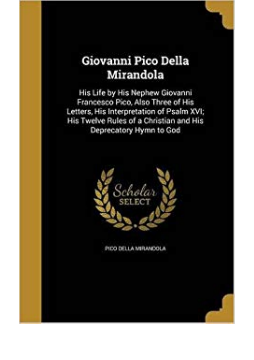## Giovanni Pico Della Mirandola

His Life by His Nephew Giovanni Francesco Pico, Also Three of His Letters, His Interpretation of Psalm XVI; His Twelve Rules of a Christian and His Deprecatory Hymn to God



PIDO DELLA MIRANDOLA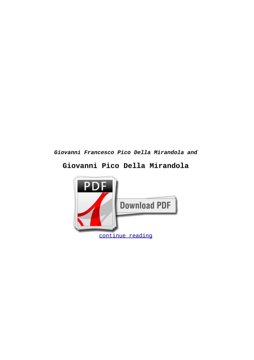## **Giovanni Francesco Pico Della Mirandola and**

## **Giovanni Pico Della Mirandola**

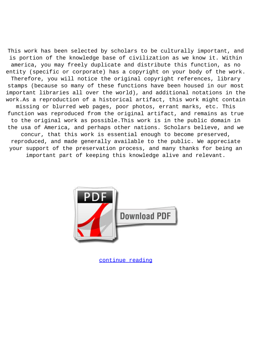This work has been selected by scholars to be culturally important, and is portion of the knowledge base of civilization as we know it. Within america, you may freely duplicate and distribute this function, as no entity (specific or corporate) has a copyright on your body of the work. Therefore, you will notice the original copyright references, library stamps (because so many of these functions have been housed in our most important libraries all over the world), and additional notations in the work.As a reproduction of a historical artifact, this work might contain missing or blurred web pages, poor photos, errant marks, etc. This function was reproduced from the original artifact, and remains as true to the original work as possible.This work is in the public domain in the usa of America, and perhaps other nations. Scholars believe, and we concur, that this work is essential enough to become preserved, reproduced, and made generally available to the public. We appreciate your support of the preservation process, and many thanks for being an important part of keeping this knowledge alive and relevant.



[continue reading](http://bit.ly/2Tge8Fv)